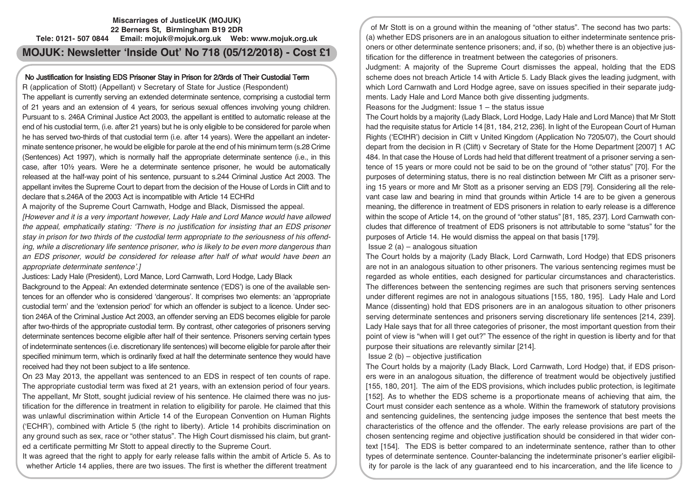## **Miscarriages of JusticeUK (MOJUK) 22 Berners St, Birmingham B19 2DR Tele: 0121- 507 0844 Email: mojuk@mojuk.org.uk Web: www.mojuk.org.uk**

# **MOJUK: Newsletter 'Inside Out' No 718 (05/12/2018) - Cost £1**

## No Justification for Insisting EDS Prisoner Stay in Prison for 2/3rds of Their Custodial Term

R (application of Stott) (Appellant) v Secretary of State for Justice (Respondent) The appellant is currently serving an extended determinate sentence, comprising a custodial term of 21 years and an extension of 4 years, for serious sexual offences involving young children. Pursuant to s. 246A Criminal Justice Act 2003, the appellant is entitled to automatic release at the end of his custodial term, (i.e. after 21 years) but he is only eligible to be considered for parole when he has served two-thirds of that custodial term (i.e. after 14 years). Were the appellant an indeterminate sentence prisoner, he would be eligible for parole at the end of his minimum term (s.28 Crime (Sentences) Act 1997), which is normally half the appropriate determinate sentence (i.e., in this case, after 10½ years. Were he a determinate sentence prisoner, he would be automatically released at the half-way point of his sentence, pursuant to s.244 Criminal Justice Act 2003. The appellant invites the Supreme Court to depart from the decision of the House of Lords in Clift and to declare that s.246A of the 2003 Act is incompatible with Article 14 ECHRd

A majority of the Supreme Court Carnwath, Hodge and Black, Dismissed the appeal.

[However and it is <sup>a</sup> very important however, Lady Hale and Lord Mance would have allowed the appeal, emphatically stating: 'There is no justification for insisting that an EDS prisoner stay in prison for two thirds of the custodial term appropriate to the seriousness of his offending, while <sup>a</sup> discretionary life sentence prisoner, who is likely to be even more dangerous than an EDS prisoner, would be considered for release after half of what would have been an appropriate determinate sentence'.]

Justices: Lady Hale (President), Lord Mance, Lord Carnwath, Lord Hodge, Lady Black

Background to the Appeal: An extended determinate sentence ('EDS') is one of the available sentences for an offender who is considered 'dangerous'. It comprises two elements: an 'appropriate custodial term' and the 'extension period' for which an offender is subject to a licence. Under section 246A of the Criminal Justice Act 2003, an offender serving an EDS becomes eligible for parole after two-thirds of the appropriate custodial term. By contrast, other categories of prisoners serving determinate sentences become eligible after half of their sentence. Prisoners serving certain types of indeterminate sentences (i.e. discretionary life sentences) will become eligible for parole after their specified minimum term, which is ordinarily fixed at half the determinate sentence they would have received had they not been subject to a life sentence.

On 23 May 2013, the appellant was sentenced to an EDS in respect of ten counts of rape. The appropriate custodial term was fixed at 21 years, with an extension period of four years. The appellant, Mr Stott, sought judicial review of his sentence. He claimed there was no justification for the difference in treatment in relation to eligibility for parole. He claimed that this was unlawful discrimination within Article 14 of the European Convention on Human Rights ('ECHR'), combined with Article 5 (the right to liberty). Article 14 prohibits discrimination on any ground such as sex, race or "other status". The High Court dismissed his claim, but granted a certificate permitting Mr Stott to appeal directly to the Supreme Court.

It was agreed that the right to apply for early release falls within the ambit of Article 5. As to whether Article 14 applies, there are two issues. The first is whether the different treatment

of Mr Stott is on a ground within the meaning of "other status". The second has two parts: (a) whether EDS prisoners are in an analogous situation to either indeterminate sentence prisoners or other determinate sentence prisoners; and, if so, (b) whether there is an objective justification for the difference in treatment between the categories of prisoners.

Judgment: A majority of the Supreme Court dismisses the appeal, holding that the EDS scheme does not breach Article 14 with Article 5. Lady Black gives the leading judgment, with which Lord Carnwath and Lord Hodge agree, save on issues specified in their separate judgments. Lady Hale and Lord Mance both give dissenting judgments.

Reasons for the Judgment: Issue  $1 -$  the status issue

The Court holds by a majority (Lady Black, Lord Hodge, Lady Hale and Lord Mance) that Mr Stott had the requisite status for Article 14 [81, 184, 212, 236]. In light of the European Court of Human Rights ('ECtHR') decision in Clift v United Kingdom (Application No 7205/07), the Court should depart from the decision in R (Clift) v Secretary of State for the Home Department [2007] 1 AC 484. In that case the House of Lords had held that different treatment of a prisoner serving a sentence of 15 years or more could not be said to be on the ground of "other status" [70]. For the purposes of determining status, there is no real distinction between Mr Clift as a prisoner serving 15 years or more and Mr Stott as a prisoner serving an EDS [79]. Considering all the relevant case law and bearing in mind that grounds within Article 14 are to be given a generous meaning, the difference in treatment of EDS prisoners in relation to early release is a difference within the scope of Article 14, on the ground of "other status" [81, 185, 237]. Lord Carnwath concludes that difference of treatment of EDS prisoners is not attributable to some "status" for the purposes of Article 14. He would dismiss the appeal on that basis [179].

Issue 2 (a) – analogous situation

The Court holds by a majority (Lady Black, Lord Carnwath, Lord Hodge) that EDS prisoners are not in an analogous situation to other prisoners. The various sentencing regimes must be regarded as whole entities, each designed for particular circumstances and characteristics. The differences between the sentencing regimes are such that prisoners serving sentences under different regimes are not in analogous situations [155, 180, 195]. Lady Hale and Lord Mance (dissenting) hold that EDS prisoners are in an analogous situation to other prisoners serving determinate sentences and prisoners serving discretionary life sentences [214, 239]. Lady Hale says that for all three categories of prisoner, the most important question from their point of view is "when will I get out?" The essence of the right in question is liberty and for that purpose their situations are relevantly similar [214].

Issue 2 (b) – objective justification

The Court holds by a majority (Lady Black, Lord Carnwath, Lord Hodge) that, if EDS prisoners were in an analogous situation, the difference of treatment would be objectively justified [155, 180, 201]. The aim of the EDS provisions, which includes public protection, is legitimate [152]. As to whether the EDS scheme is a proportionate means of achieving that aim, the Court must consider each sentence as a whole. Within the framework of statutory provisions and sentencing guidelines, the sentencing judge imposes the sentence that best meets the characteristics of the offence and the offender. The early release provisions are part of the chosen sentencing regime and objective justification should be considered in that wider context [154]. The EDS is better compared to an indeterminate sentence, rather than to other types of determinate sentence. Counter-balancing the indeterminate prisoner's earlier eligibility for parole is the lack of any guaranteed end to his incarceration, and the life licence to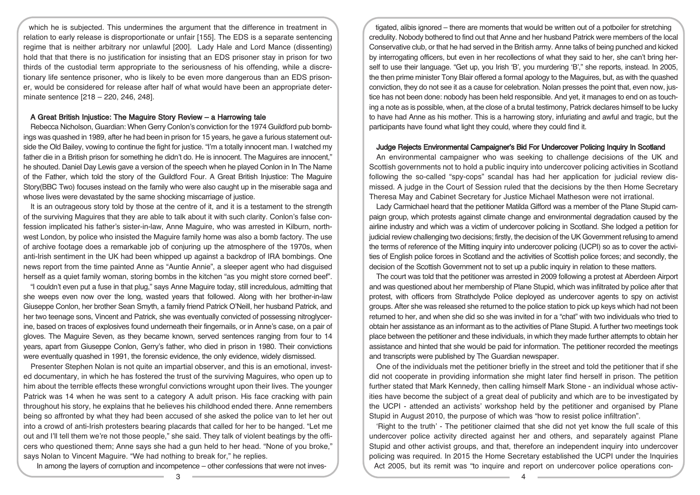which he is subjected. This undermines the argument that the difference in treatment in relation to early release is disproportionate or unfair [155]. The EDS is a separate sentencing regime that is neither arbitrary nor unlawful [200]. Lady Hale and Lord Mance (dissenting) hold that that there is no justification for insisting that an EDS prisoner stay in prison for two thirds of the custodial term appropriate to the seriousness of his offending, while a discretionary life sentence prisoner, who is likely to be even more dangerous than an EDS prisoner, would be considered for release after half of what would have been an appropriate determinate sentence [218 – 220, 246, 248].

## A Great British Injustice: The Maguire Story Review – a Harrowing tale

Rebecca Nicholson, Guardian: When Gerry Conlon's conviction for the 1974 Guildford pub bombings was quashed in 1989, after he had been in prison for 15 years, he gave a furious statement outside the Old Bailey, vowing to continue the fight for justice. "I'm a totally innocent man. I watched my father die in a British prison for something he didn't do. He is innocent. The Maguires are innocent," he shouted. Daniel Day Lewis gave a version of the speech when he played Conlon in In The Name of the Father, which told the story of the Guildford Four. A Great British Injustice: The Maguire Story(BBC Two) focuses instead on the family who were also caught up in the miserable saga and whose lives were devastated by the same shocking miscarriage of justice.

It is an outrageous story told by those at the centre of it, and it is a testament to the strength of the surviving Maguires that they are able to talk about it with such clarity. Conlon's false confession implicated his father's sister-in-law, Anne Maguire, who was arrested in Kilburn, northwest London, by police who insisted the Maguire family home was also a bomb factory. The use of archive footage does a remarkable job of conjuring up the atmosphere of the 1970s, when anti-Irish sentiment in the UK had been whipped up against a backdrop of IRA bombings. One news report from the time painted Anne as "Auntie Annie", a sleeper agent who had disguised herself as a quiet family woman, storing bombs in the kitchen "as you might store corned beef".

"I couldn't even put a fuse in that plug," says Anne Maguire today, still incredulous, admitting that she weeps even now over the long, wasted years that followed. Along with her brother-in-law Giuseppe Conlon, her brother Sean Smyth, a family friend Patrick O'Neill, her husband Patrick, and her two teenage sons, Vincent and Patrick, she was eventually convicted of possessing nitroglycerine, based on traces of explosives found underneath their fingernails, or in Anne's case, on a pair of gloves. The Maguire Seven, as they became known, served sentences ranging from four to 14 years, apart from Giuseppe Conlon, Gerry's father, who died in prison in 1980. Their convictions were eventually quashed in 1991, the forensic evidence, the only evidence, widely dismissed.

Presenter Stephen Nolan is not quite an impartial observer, and this is an emotional, invested documentary, in which he has fostered the trust of the surviving Maguires, who open up to him about the terrible effects these wrongful convictions wrought upon their lives. The younger Patrick was 14 when he was sent to a category A adult prison. His face cracking with pain throughout his story, he explains that he believes his childhood ended there. Anne remembers being so affronted by what they had been accused of she asked the police van to let her out into a crowd of anti-Irish protesters bearing placards that called for her to be hanged. "Let me out and I'll tell them we're not those people," she said. They talk of violent beatings by the officers who questioned them; Anne says she had a gun held to her head. "None of you broke," says Nolan to Vincent Maguire. "We had nothing to break for," he replies.

In among the layers of corruption and incompetence – other confessions that were not inves-

tigated, alibis ignored – there are moments that would be written out of a potboiler for stretching credulity. Nobody bothered to find out that Anne and her husband Patrick were members of the local Conservative club, or that he had served in the British army. Anne talks of being punched and kicked by interrogating officers, but even in her recollections of what they said to her, she can't bring herself to use their language. "Get up, you Irish 'B', you murdering 'B'," she reports, instead. In 2005, the then prime minister Tony Blair offered a formal apology to the Maguires, but, as with the quashed conviction, they do not see it as a cause for celebration. Nolan presses the point that, even now, justice has not been done: nobody has been held responsible. And yet, it manages to end on as touching a note as is possible, when, at the close of a brutal testimony, Patrick declares himself to be lucky to have had Anne as his mother. This is a harrowing story, infuriating and awful and tragic, but the participants have found what light they could, where they could find it.

### Judge Rejects Environmental Campaigner's Bid For Undercover Policing Inquiry In Scotland

An environmental campaigner who was seeking to challenge decisions of the UK and Scottish governments not to hold a public inquiry into undercover policing activities in Scotland following the so-called "spy-cops" scandal has had her application for judicial review dismissed. A judge in the Court of Session ruled that the decisions by the then Home Secretary Theresa May and Cabinet Secretary for Justice Michael Matheson were not irrational.

Lady Carmichael heard that the petitioner Matilda Gifford was a member of the Plane Stupid campaign group, which protests against climate change and environmental degradation caused by the airline industry and which was a victim of undercover policing in Scotland. She lodged a petition for judicial review challenging two decisions; firstly, the decision of the UK Government refusing to amend the terms of reference of the Mitting inquiry into undercover policing (UCPI) so as to cover the activities of English police forces in Scotland and the activities of Scottish police forces; and secondly, the decision of the Scottish Government not to set up a public inquiry in relation to these matters.

The court was told that the petitioner was arrested in 2009 following a protest at Aberdeen Airport and was questioned about her membership of Plane Stupid, which was infiltrated by police after that protest, with officers from Strathclyde Police deployed as undercover agents to spy on activist groups. After she was released she returned to the police station to pick up keys which had not been returned to her, and when she did so she was invited in for a "chat" with two individuals who tried to obtain her assistance as an informant as to the activities of Plane Stupid. A further two meetings took place between the petitioner and these individuals, in which they made further attempts to obtain her assistance and hinted that she would be paid for information. The petitioner recorded the meetings and transcripts were published by The Guardian newspaper.

One of the individuals met the petitioner briefly in the street and told the petitioner that if she did not cooperate in providing information she might later find herself in prison. The petition further stated that Mark Kennedy, then calling himself Mark Stone - an individual whose activities have become the subject of a great deal of publicity and which are to be investigated by the UCPI - attended an activists' workshop held by the petitioner and organised by Plane Stupid in August 2010, the purpose of which was "how to resist police infiltration".

'Right to the truth' - The petitioner claimed that she did not yet know the full scale of this undercover police activity directed against her and others, and separately against Plane Stupid and other activist groups, and that, therefore an independent inquiry into undercover policing was required. In 2015 the Home Secretary established the UCPI under the Inquiries Act 2005, but its remit was "to inquire and report on undercover police operations con-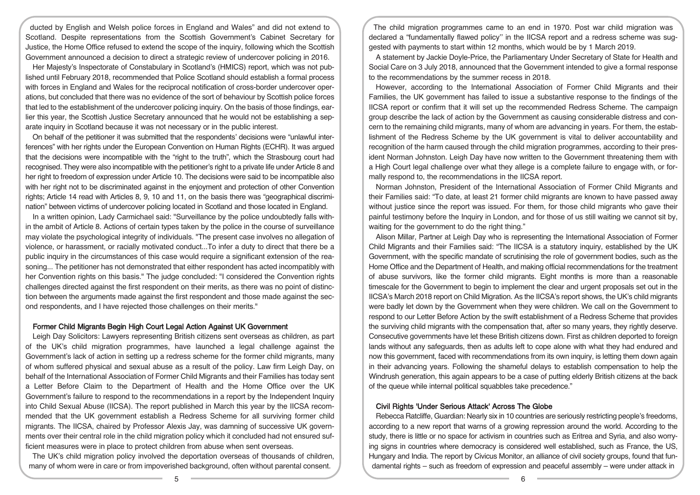ducted by English and Welsh police forces in England and Wales" and did not extend to Scotland. Despite representations from the Scottish Government's Cabinet Secretary for Justice, the Home Office refused to extend the scope of the inquiry, following which the Scottish Government announced a decision to direct a strategic review of undercover policing in 2016.

Her Majesty's Inspectorate of Constabulary in Scotland's (HMICS) report, which was not published until February 2018, recommended that Police Scotland should establish a formal process with forces in England and Wales for the reciprocal notification of cross-border undercover operations, but concluded that there was no evidence of the sort of behaviour by Scottish police forces that led to the establishment of the undercover policing inquiry. On the basis of those findings, earlier this year, the Scottish Justice Secretary announced that he would not be establishing a separate inquiry in Scotland because it was not necessary or in the public interest.

On behalf of the petitioner it was submitted that the respondents' decisions were "unlawful interferences" with her rights under the European Convention on Human Rights (ECHR). It was argued that the decisions were incompatible with the "right to the truth", which the Strasbourg court had recognised. They were also incompatible with the petitioner's right to a private life under Article 8 and her right to freedom of expression under Article 10. The decisions were said to be incompatible also with her right not to be discriminated against in the enjoyment and protection of other Convention rights; Article 14 read with Articles 8, 9, 10 and 11, on the basis there was "geographical discrimination" between victims of undercover policing located in Scotland and those located in England.

In a written opinion, Lady Carmichael said: "Surveillance by the police undoubtedly falls within the ambit of Article 8. Actions of certain types taken by the police in the course of surveillance may violate the psychological integrity of individuals. "The present case involves no allegation of violence, or harassment, or racially motivated conduct...To infer a duty to direct that there be a public inquiry in the circumstances of this case would require a significant extension of the reasoning... The petitioner has not demonstrated that either respondent has acted incompatibly with her Convention rights on this basis." The judge concluded: "I considered the Convention rights challenges directed against the first respondent on their merits, as there was no point of distinction between the arguments made against the first respondent and those made against the second respondents, and I have rejected those challenges on their merits."

#### Former Child Migrants Begin High Court Legal Action Against UK Government

Leigh Day Solicitors: Lawyers representing British citizens sent overseas as children, as part of the UK's child migration programmes, have launched a legal challenge against the Government's lack of action in setting up a redress scheme for the former child migrants, many of whom suffered physical and sexual abuse as a result of the policy. Law firm Leigh Day, on behalf of the International Association of Former Child Migrants and their Families has today sent a Letter Before Claim to the Department of Health and the Home Office over the UK Government's failure to respond to the recommendations in a report by the Independent Inquiry into Child Sexual Abuse (IICSA). The report published in March this year by the IICSA recommended that the UK government establish a Redress Scheme for all surviving former child migrants. The IICSA, chaired by Professor Alexis Jay, was damning of successive UK governments over their central role in the child migration policy which it concluded had not ensured sufficient measures were in place to protect children from abuse when sent overseas.

The UK's child migration policy involved the deportation overseas of thousands of children, many of whom were in care or from impoverished background, often without parental consent.

The child migration programmes came to an end in 1970. Post war child migration was declared a "fundamentally flawed policy'' in the IICSA report and a redress scheme was suggested with payments to start within 12 months, which would be by 1 March 2019.

A statement by Jackie Doyle-Price, the Parliamentary Under Secretary of State for Health and Social Care on 3 July 2018, announced that the Government intended to give a formal response to the recommendations by the summer recess in 2018.

However, according to the International Association of Former Child Migrants and their Families, the UK government has failed to issue a substantive response to the findings of the IICSA report or confirm that it will set up the recommended Redress Scheme. The campaign group describe the lack of action by the Government as causing considerable distress and concern to the remaining child migrants, many of whom are advancing in years. For them, the establishment of the Redress Scheme by the UK government is vital to deliver accountability and recognition of the harm caused through the child migration programmes, according to their president Norman Johnston. Leigh Day have now written to the Government threatening them with a High Court legal challenge over what they allege is a complete failure to engage with, or formally respond to, the recommendations in the IICSA report.

Norman Johnston, President of the International Association of Former Child Migrants and their Families said: "To date, at least 21 former child migrants are known to have passed away without justice since the report was issued. For them, for those child migrants who gave their painful testimony before the Inquiry in London, and for those of us still waiting we cannot sit by, waiting for the government to do the right thing."

Alison Millar, Partner at Leigh Day who is representing the International Association of Former Child Migrants and their Families said: "The IICSA is a statutory inquiry, established by the UK Government, with the specific mandate of scrutinising the role of government bodies, such as the Home Office and the Department of Health, and making official recommendations for the treatment of abuse survivors, like the former child migrants. Eight months is more than a reasonable timescale for the Government to begin to implement the clear and urgent proposals set out in the IICSA's March 2018 report on Child Migration. As the IICSA's report shows, the UK's child migrants were badly let down by the Government when they were children. We call on the Government to respond to our Letter Before Action by the swift establishment of a Redress Scheme that provides the surviving child migrants with the compensation that, after so many years, they rightly deserve. Consecutive governments have let these British citizens down. First as children deported to foreign lands without any safeguards, then as adults left to cope alone with what they had endured and now this government, faced with recommendations from its own inquiry, is letting them down again in their advancing years. Following the shameful delays to establish compensation to help the Windrush generation, this again appears to be a case of putting elderly British citizens at the back of the queue while internal political squabbles take precedence."

## Civil Rights 'Under Serious Attack' Across The Globe

Rebecca Ratcliffe, Guardian: Nearly six in 10 countries are seriously restricting people's freedoms, according to a new report that warns of a growing repression around the world. According to the study, there is little or no space for activism in countries such as Eritrea and Syria, and also worrying signs in countries where democracy is considered well established, such as France, the US, Hungary and India. The report by Civicus Monitor, an alliance of civil society groups, found that fundamental rights – such as freedom of expression and peaceful assembly – were under attack in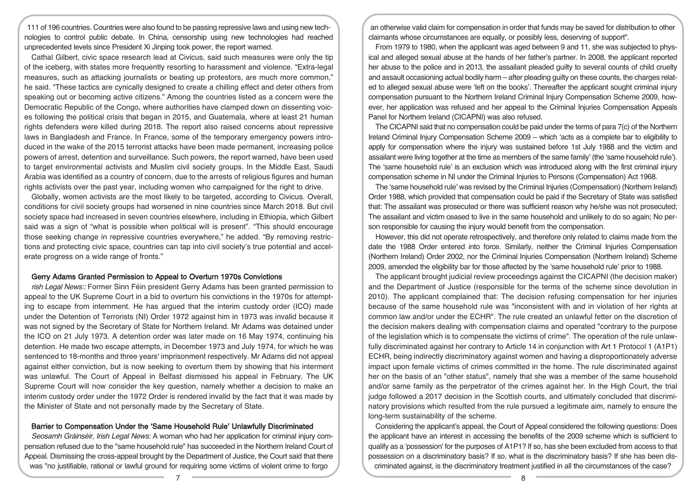111 of 196 countries. Countries were also found to be passing repressive laws and using new technologies to control public debate. In China, censorship using new technologies had reached unprecedented levels since President Xi Jinping took power, the report warned.

Cathal Gilbert, civic space research lead at Civicus, said such measures were only the tip of the iceberg, with states more frequently resorting to harassment and violence. "Extra-legal measures, such as attacking journalists or beating up protestors, are much more common," he said. "These tactics are cynically designed to create a chilling effect and deter others from speaking out or becoming active citizens." Among the countries listed as a concern were the Democratic Republic of the Congo, where authorities have clamped down on dissenting voices following the political crisis that began in 2015, and Guatemala, where at least 21 human rights defenders were killed during 2018. The report also raised concerns about repressive laws in Bangladesh and France. In France, some of the temporary emergency powers introduced in the wake of the 2015 terrorist attacks have been made permanent, increasing police powers of arrest, detention and surveillance. Such powers, the report warned, have been used to target environmental activists and Muslim civil society groups. In the Middle East, Saudi Arabia was identified as a country of concern, due to the arrests of religious figures and human rights activists over the past year, including women who campaigned for the right to drive.

Globally, women activists are the most likely to be targeted, according to Civicus. Overall, conditions for civil society groups had worsened in nine countries since March 2018. But civil society space had increased in seven countries elsewhere, including in Ethiopia, which Gilbert said was a sign of "what is possible when political will is present". "This should encourage those seeking change in repressive countries everywhere," he added. "By removing restrictions and protecting civic space, countries can tap into civil society's true potential and accelerate progress on a wide range of fronts."

## Gerry Adams Granted Permission to Appeal to Overturn 1970s Convictions

rish Legal News:: Former Sinn Féin president Gerry Adams has been granted permission to appeal to the UK Supreme Court in a bid to overturn his convictions in the 1970s for attempting to escape from internment. He has argued that the interim custody order (ICO) made under the Detention of Terrorists (NI) Order 1972 against him in 1973 was invalid because it was not signed by the Secretary of State for Northern Ireland. Mr Adams was detained under the ICO on 21 July 1973. A detention order was later made on 16 May 1974, continuing his detention. He made two escape attempts, in December 1973 and July 1974, for which he was sentenced to 18-months and three years' imprisonment respectively. Mr Adams did not appeal against either conviction, but is now seeking to overturn them by showing that his interment was unlawful. The Court of Appeal in Belfast dismissed his appeal in February. The UK Supreme Court will now consider the key question, namely whether a decision to make an interim custody order under the 1972 Order is rendered invalid by the fact that it was made by the Minister of State and not personally made by the Secretary of State.

## Barrier to Compensation Under the 'Same Household Rule' Unlawfully Discriminated

Seosamh Gráinséir, Irish Legal News: A woman who had her application for criminal injury compensation refused due to the "same household rule" has succeeded in the Northern Ireland Court of Appeal. Dismissing the cross-appeal brought by the Department of Justice, the Court said that there was "no justifiable, rational or lawful ground for requiring some victims of violent crime to forgo

an otherwise valid claim for compensation in order that funds may be saved for distribution to other claimants whose circumstances are equally, or possibly less, deserving of support".

From 1979 to 1980, when the applicant was aged between 9 and 11, she was subjected to physical and alleged sexual abuse at the hands of her father's partner. In 2008, the applicant reported her abuse to the police and in 2013, the assailant pleaded guilty to several counts of child cruelty and assault occasioning actual bodily harm – after pleading guilty on these counts, the charges related to alleged sexual abuse were 'left on the books'. Thereafter the applicant sought criminal injury compensation pursuant to the Northern Ireland Criminal Injury Compensation Scheme 2009, however, her application was refused and her appeal to the Criminal Injuries Compensation Appeals Panel for Northern Ireland (CICAPNI) was also refused.

The CICAPNI said that no compensation could be paid under the terms of para 7(c) of the Northern Ireland Criminal Injury Compensation Scheme 2009 – which 'acts as a complete bar to eligibility to apply for compensation where the injury was sustained before 1st July 1988 and the victim and assailant were living together at the time as members of the same family' (the 'same household rule'). The 'same household rule' is an exclusion which was introduced along with the first criminal injury compensation scheme in NI under the Criminal Injuries to Persons (Compensation) Act 1968.

The 'same household rule' was revised by the Criminal Injuries (Compensation) (Northern Ireland) Order 1988, which provided that compensation could be paid if the Secretary of State was satisfied that: The assailant was prosecuted or there was sufficient reason why he/she was not prosecuted; The assailant and victim ceased to live in the same household and unlikely to do so again; No person responsible for causing the injury would benefit from the compensation.

However, this did not operate retrospectively, and therefore only related to claims made from the date the 1988 Order entered into force. Similarly, neither the Criminal Injuries Compensation (Northern Ireland) Order 2002, nor the Criminal Injuries Compensation (Northern Ireland) Scheme 2009, amended the eligibility bar for those affected by the 'same household rule' prior to 1988.

The applicant brought judicial review proceedings against the CICAPNI (the decision maker) and the Department of Justice (responsible for the terms of the scheme since devolution in 2010). The applicant complained that: The decision refusing compensation for her injuries because of the same household rule was "inconsistent with and in violation of her rights at common law and/or under the ECHR". The rule created an unlawful fetter on the discretion of the decision makers dealing with compensation claims and operated "contrary to the purpose of the legislation which is to compensate the victims of crime". The operation of the rule unlawfully discriminated against her contrary to Article 14 in conjunction with Art 1 Protocol 1 (A1P1) ECHR, being indirectly discriminatory against women and having a disproportionately adverse impact upon female victims of crimes committed in the home. The rule discriminated against her on the basis of an "other status", namely that she was a member of the same household and/or same family as the perpetrator of the crimes against her. In the High Court, the trial judge followed a 2017 decision in the Scottish courts, and ultimately concluded that discriminatory provisions which resulted from the rule pursued a legitimate aim, namely to ensure the long-term sustainability of the scheme.

Considering the applicant's appeal, the Court of Appeal considered the following questions: Does the applicant have an interest in accessing the benefits of the 2009 scheme which is sufficient to qualify as a 'possession' for the purposes of A1P1? If so, has she been excluded from access to that possession on a discriminatory basis? If so, what is the discriminatory basis? If she has been discriminated against, is the discriminatory treatment justified in all the circumstances of the case?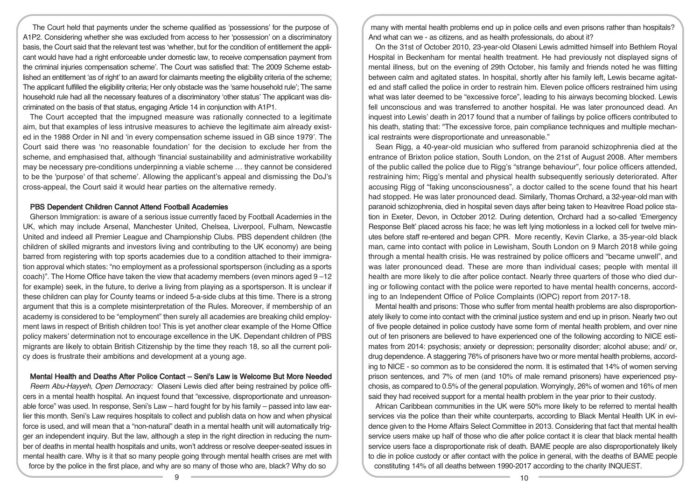The Court held that payments under the scheme qualified as 'possessions' for the purpose of A1P2. Considering whether she was excluded from access to her 'possession' on a discriminatory basis, the Court said that the relevant test was 'whether, but for the condition of entitlement the applicant would have had a right enforceable under domestic law, to receive compensation payment from the criminal injuries compensation scheme'. The Court was satisfied that: The 2009 Scheme established an entitlement 'as of right' to an award for claimants meeting the eligibility criteria of the scheme; The applicant fulfilled the eligibility criteria; Her only obstacle was the 'same household rule'; The same household rule had all the necessary features of a discriminatory 'other status' The applicant was discriminated on the basis of that status, engaging Article 14 in conjunction with A1P1.

The Court accepted that the impugned measure was rationally connected to a legitimate aim, but that examples of less intrusive measures to achieve the legitimate aim already existed in the 1988 Order in NI and 'in every compensation scheme issued in GB since 1979'. The Court said there was 'no reasonable foundation' for the decision to exclude her from the scheme, and emphasised that, although 'financial sustainability and administrative workability may be necessary pre-conditions underpinning a viable scheme … they cannot be considered to be the 'purpose' of that scheme'. Allowing the applicant's appeal and dismissing the DoJ's cross-appeal, the Court said it would hear parties on the alternative remedy.

#### PBS Dependent Children Cannot Attend Football Academies

Gherson Immigration: is aware of a serious issue currently faced by Football Academies in the UK, which may include Arsenal, Manchester United, Chelsea, Liverpool, Fulham, Newcastle United and indeed all Premier League and Championship Clubs. PBS dependent children (the children of skilled migrants and investors living and contributing to the UK economy) are being barred from registering with top sports academies due to a condition attached to their immigration approval which states: "no employment as a professional sportsperson (including as a sports coach)". The Home Office have taken the view that academy members (even minors aged 9 –12 for example) seek, in the future, to derive a living from playing as a sportsperson. It is unclear if these children can play for County teams or indeed 5-a-side clubs at this time. There is a strong argument that this is a complete misinterpretation of the Rules. Moreover, if membership of an academy is considered to be "employment" then surely all academies are breaking child employment laws in respect of British children too! This is yet another clear example of the Home Office policy makers' determination not to encourage excellence in the UK. Dependant children of PBS migrants are likely to obtain British Citizenship by the time they reach 18, so all the current policy does is frustrate their ambitions and development at a young age.

## Mental Health and Deaths After Police Contact – Seni's Law is Welcome But More Needed

Reem Abu-Hayyeh, Open Democracy: Olaseni Lewis died after being restrained by police officers in a mental health hospital. An inquest found that "excessive, disproportionate and unreasonable force" was used. In response, Seni's Law – hard fought for by his family – passed into law earlier this month. Seni's Law requires hospitals to collect and publish data on how and when physical force is used, and will mean that a "non-natural" death in a mental health unit will automatically trigger an independent inquiry. But the law, although a step in the right direction in reducing the number of deaths in mental health hospitals and units, won't address or resolve deeper-seated issues in mental health care. Why is it that so many people going through mental health crises are met with force by the police in the first place, and why are so many of those who are, black? Why do so

many with mental health problems end up in police cells and even prisons rather than hospitals? And what can we - as citizens, and as health professionals, do about it?

On the 31st of October 2010, 23-year-old Olaseni Lewis admitted himself into Bethlem Royal Hospital in Beckenham for mental health treatment. He had previously not displayed signs of mental illness, but on the evening of 29th October, his family and friends noted he was flitting between calm and agitated states. In hospital, shortly after his family left, Lewis became agitated and staff called the police in order to restrain him. Eleven police officers restrained him using what was later deemed to be "excessive force", leading to his airways becoming blocked. Lewis fell unconscious and was transferred to another hospital. He was later pronounced dead. An inquest into Lewis' death in 2017 found that a number of failings by police officers contributed to his death, stating that: "The excessive force, pain compliance techniques and multiple mechanical restraints were disproportionate and unreasonable."

Sean Rigg, a 40-year-old musician who suffered from paranoid schizophrenia died at the entrance of Brixton police station, South London, on the 21st of August 2008. After members of the public called the police due to Rigg's "strange behaviour", four police officers attended, restraining him; Rigg's mental and physical health subsequently seriously deteriorated. After accusing Rigg of "faking unconsciousness", a doctor called to the scene found that his heart had stopped. He was later pronounced dead. Similarly, Thomas Orchard, a 32-year-old man with paranoid schizophrenia, died in hospital seven days after being taken to Heavitree Road police station in Exeter, Devon, in October 2012. During detention, Orchard had a so-called 'Emergency Response Belt' placed across his face; he was left lying motionless in a locked cell for twelve minutes before staff re-entered and began CPR. More recently, Kevin Clarke, a 35-year-old black man, came into contact with police in Lewisham, South London on 9 March 2018 while going through a mental health crisis. He was restrained by police officers and "became unwell", and was later pronounced dead. These are more than individual cases; people with mental ill health are more likely to die after police contact. Nearly three quarters of those who died during or following contact with the police were reported to have mental health concerns, according to an Independent Office of Police Complaints (IOPC) report from 2017-18.

Mental health and prisons: Those who suffer from mental health problems are also disproportionately likely to come into contact with the criminal justice system and end up in prison. Nearly two out of five people detained in police custody have some form of mental health problem, and over nine out of ten prisoners are believed to have experienced one of the following according to NICE estimates from 2014: psychosis; anxiety or depression; personality disorder; alcohol abuse; and/ or, drug dependence. A staggering 76% of prisoners have two or more mental health problems, according to NICE - so common as to be considered the norm. It is estimated that 14% of women serving prison sentences, and 7% of men (and 10% of male remand prisoners) have experienced psychosis, as compared to 0.5% of the general population. Worryingly, 26% of women and 16% of men said they had received support for a mental health problem in the year prior to their custody.

African Caribbean communities in the UK were 50% more likely to be referred to mental health services via the police than their white counterparts, according to Black Mental Health UK in evidence given to the Home Affairs Select Committee in 2013. Considering that fact that mental health service users make up half of those who die after police contact it is clear that black mental health service users face a disproportionate risk of death. BAME people are also disproportionately likely to die in police custody or after contact with the police in general, with the deaths of BAME people constituting 14% of all deaths between 1990-2017 according to the charity INQUEST.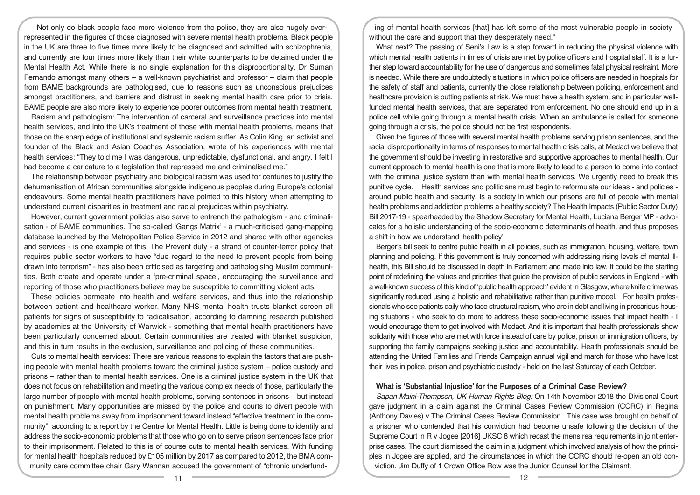Not only do black people face more violence from the police, they are also hugely overrepresented in the figures of those diagnosed with severe mental health problems. Black people in the UK are three to five times more likely to be diagnosed and admitted with schizophrenia, and currently are four times more likely than their white counterparts to be detained under the Mental Health Act. While there is no single explanation for this disproportionality, Dr Suman Fernando amongst many others – a well-known psychiatrist and professor – claim that people from BAME backgrounds are pathologised, due to reasons such as unconscious prejudices amongst practitioners, and barriers and distrust in seeking mental health care prior to crisis. BAME people are also more likely to experience poorer outcomes from mental health treatment.

Racism and pathologism: The intervention of carceral and surveillance practices into mental health services, and into the UK's treatment of those with mental health problems, means that those on the sharp edge of institutional and systemic racism suffer. As Colin King, an activist and founder of the Black and Asian Coaches Association, wrote of his experiences with mental health services: "They told me I was dangerous, unpredictable, dysfunctional, and angry. I felt I had become a caricature to a legislation that repressed me and criminalised me."

The relationship between psychiatry and biological racism was used for centuries to justify the dehumanisation of African communities alongside indigenous peoples during Europe's colonial endeavours. Some mental health practitioners have pointed to this history when attempting to understand current disparities in treatment and racial prejudices within psychiatry.

However, current government policies also serve to entrench the pathologism - and criminalisation - of BAME communities. The so-called 'Gangs Matrix' - a much-criticised gang-mapping database launched by the Metropolitan Police Service in 2012 and shared with other agencies and services - is one example of this. The Prevent duty - a strand of counter-terror policy that requires public sector workers to have "due regard to the need to prevent people from being drawn into terrorism" - has also been criticised as targeting and pathologising Muslim communities. Both create and operate under a 'pre-criminal space', encouraging the surveillance and reporting of those who practitioners believe may be susceptible to committing violent acts.

These policies permeate into health and welfare services, and thus into the relationship between patient and healthcare worker. Many NHS mental health trusts blanket screen all patients for signs of susceptibility to radicalisation, according to damning research published by academics at the University of Warwick - something that mental health practitioners have been particularly concerned about. Certain communities are treated with blanket suspicion, and this in turn results in the exclusion, surveillance and policing of these communities.

Cuts to mental health services: There are various reasons to explain the factors that are pushing people with mental health problems toward the criminal justice system – police custody and prisons – rather than to mental health services. One is a criminal justice system in the UK that does not focus on rehabilitation and meeting the various complex needs of those, particularly the large number of people with mental health problems, serving sentences in prisons – but instead on punishment. Many opportunities are missed by the police and courts to divert people with mental health problems away from imprisonment toward instead "effective treatment in the community", according to a report by the Centre for Mental Health. Little is being done to identify and address the socio-economic problems that those who go on to serve prison sentences face prior to their imprisonment. Related to this is of course cuts to mental health services. With funding for mental health hospitals reduced by £105 million by 2017 as compared to 2012, the BMA community care committee chair Gary Wannan accused the government of "chronic underfund-

ing of mental health services [that] has left some of the most vulnerable people in society without the care and support that they desperately need."

What next? The passing of Seni's Law is a step forward in reducing the physical violence with which mental health patients in times of crisis are met by police officers and hospital staff. It is a further step toward accountability for the use of dangerous and sometimes fatal physical restraint. More is needed. While there are undoubtedly situations in which police officers are needed in hospitals for the safety of staff and patients, currently the close relationship between policing, enforcement and healthcare provision is putting patients at risk. We must have a health system, and in particular wellfunded mental health services, that are separated from enforcement. No one should end up in a police cell while going through a mental health crisis. When an ambulance is called for someone going through a crisis, the police should not be first respondents.

Given the figures of those with several mental health problems serving prison sentences, and the racial disproportionality in terms of responses to mental health crisis calls, at Medact we believe that the government should be investing in restorative and supportive approaches to mental health. Our current approach to mental health is one that is more likely to lead to a person to come into contact with the criminal justice system than with mental health services. We urgently need to break this punitive cycle. Health services and politicians must begin to reformulate our ideas - and policies around public health and security. Is a society in which our prisons are full of people with mental health problems and addiction problems a healthy society? The Health Impacts (Public Sector Duty) Bill 2017-19 - spearheaded by the Shadow Secretary for Mental Health, Luciana Berger MP - advocates for a holistic understanding of the socio-economic determinants of health, and thus proposes a shift in how we understand 'health policy'.

Berger's bill seek to centre public health in all policies, such as immigration, housing, welfare, town planning and policing. If this government is truly concerned with addressing rising levels of mental illhealth, this Bill should be discussed in depth in Parliament and made into law. It could be the starting point of redefining the values and priorities that guide the provision of public services in England - with a well-known success of this kind of 'public health approach' evident in Glasgow, where knife crime was significantly reduced using a holistic and rehabilitative rather than punitive model. For health professionals who see patients daily who face structural racism, who are in debt and living in precarious housing situations - who seek to do more to address these socio-economic issues that impact health - I would encourage them to get involved with Medact. And it is important that health professionals show solidarity with those who are met with force instead of care by police, prison or immigration officers, by supporting the family campaigns seeking justice and accountability. Health professionals should be attending the United Families and Friends Campaign annual vigil and march for those who have lost their lives in police, prison and psychiatric custody - held on the last Saturday of each October.

#### What is 'Substantial Injustice' for the Purposes of a Criminal Case Review?

Sapan Maini-Thompson, UK Human Rights Blog: On 14th November 2018 the Divisional Court gave judgment in a claim against the Criminal Cases Review Commission (CCRC) in Regina (Anthony Davies) v The Criminal Cases Review Commission . This case was brought on behalf of a prisoner who contended that his conviction had become unsafe following the decision of the Supreme Court in R v Jogee [2016] UKSC 8 which recast the mens rea requirements in joint enterprise cases. The court dismissed the claim in a judgment which involved analysis of how the principles in Jogee are applied, and the circumstances in which the CCRC should re-open an old conviction. Jim Duffy of 1 Crown Office Row was the Junior Counsel for the Claimant.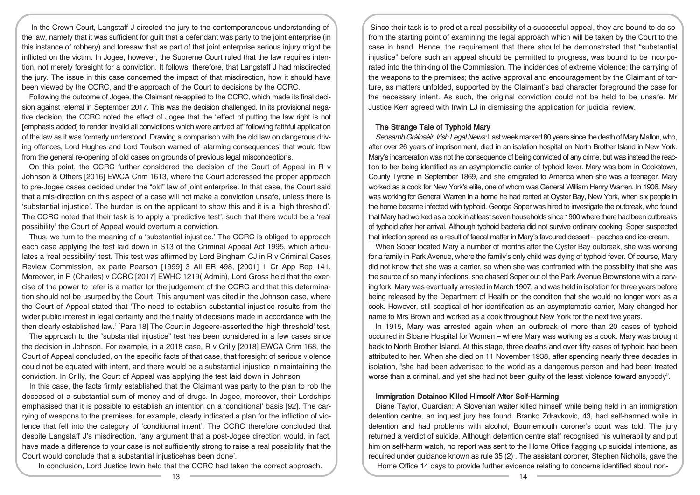In the Crown Court, Langstaff J directed the jury to the contemporaneous understanding of the law, namely that it was sufficient for guilt that a defendant was party to the joint enterprise (in this instance of robbery) and foresaw that as part of that joint enterprise serious injury might be inflicted on the victim. In Jogee, however, the Supreme Court ruled that the law requires intention, not merely foresight for a conviction. It follows, therefore, that Langstaff J had misdirected the jury. The issue in this case concerned the impact of that misdirection, how it should have been viewed by the CCRC, and the approach of the Court to decisions by the CCRC.

Following the outcome of Jogee, the Claimant re-applied to the CCRC, which made its final decision against referral in September 2017. This was the decision challenged. In its provisional negative decision, the CCRC noted the effect of Jogee that the "effect of putting the law right is not [emphasis added] to render invalid all convictions which were arrived at" following faithful application of the law as it was formerly understood. Drawing a comparison with the old law on dangerous driving offences, Lord Hughes and Lord Toulson warned of 'alarming consequences' that would flow from the general re-opening of old cases on grounds of previous legal misconceptions.

On this point, the CCRC further considered the decision of the Court of Appeal in R v Johnson & Others [2016] EWCA Crim 1613, where the Court addressed the proper approach to pre-Jogee cases decided under the "old" law of joint enterprise. In that case, the Court said that a mis-direction on this aspect of a case will not make a conviction unsafe, unless there is 'substantial injustice'. The burden is on the applicant to show this and it is a 'high threshold'. The CCRC noted that their task is to apply a 'predictive test', such that there would be a 'real possibility' the Court of Appeal would overturn a conviction.

Thus, we turn to the meaning of a 'substantial injustice.' The CCRC is obliged to approach each case applying the test laid down in S13 of the Criminal Appeal Act 1995, which articulates a 'real possibility' test. This test was affirmed by Lord Bingham CJ in R v Criminal Cases Review Commission, ex parte Pearson [1999] 3 All ER 498, [2001] 1 Cr App Rep 141. Moreover, in R (Charles) v CCRC [2017] EWHC 1219( Admin), Lord Gross held that the exercise of the power to refer is a matter for the judgement of the CCRC and that this determination should not be usurped by the Court. This argument was cited in the Johnson case, where the Court of Appeal stated that 'The need to establish substantial injustice results from the wider public interest in legal certainty and the finality of decisions made in accordance with the then clearly established law.' [Para 18] The Court in Jogeere-asserted the 'high threshold' test.

The approach to the "substantial injustice" test has been considered in a few cases since the decision in Johnson. For example, in a 2018 case, R v Crilly [2018] EWCA Crim 168, the Court of Appeal concluded, on the specific facts of that case, that foresight of serious violence could not be equated with intent, and there would be a substantial injustice in maintaining the conviction. In Crilly, the Court of Appeal was applying the test laid down in Johnson.

In this case, the facts firmly established that the Claimant was party to the plan to rob the deceased of a substantial sum of money and of drugs. In Jogee, moreover, their Lordships emphasised that it is possible to establish an intention on a 'conditional' basis [92]. The carrying of weapons to the premises, for example, clearly indicated a plan for the infliction of violence that fell into the category of 'conditional intent'. The CCRC therefore concluded that despite Langstaff J's misdirection, 'any argument that a post-Jogee direction would, in fact, have made a difference to your case is not sufficiently strong to raise a real possibility that the Court would conclude that a substantial injusticehas been done'.

In conclusion, Lord Justice Irwin held that the CCRC had taken the correct approach.

Since their task is to predict a real possibility of a successful appeal, they are bound to do so from the starting point of examining the legal approach which will be taken by the Court to the case in hand. Hence, the requirement that there should be demonstrated that "substantial injustice" before such an appeal should be permitted to progress, was bound to be incorporated into the thinking of the Commission. The incidences of extreme violence; the carrying of the weapons to the premises; the active approval and encouragement by the Claimant of torture, as matters unfolded, supported by the Claimant's bad character foreground the case for the necessary intent. As such, the original conviction could not be held to be unsafe. Mr Justice Kerr agreed with Irwin LJ in dismissing the application for judicial review.

## The Strange Tale of Typhoid Mary

Seosamh Gráinséir, Irish Legal News: Last week marked 80 years since the death of Mary Mallon, who, after over 26 years of imprisonment, died in an isolation hospital on North Brother Island in New York. Mary's incarceration was not the consequence of being convicted of any crime, but was instead the reaction to her being identified as an asymptomatic carrier of typhoid fever. Mary was born in Cookstown, County Tyrone in September 1869, and she emigrated to America when she was a teenager. Mary worked as a cook for New York's elite, one of whom was General William Henry Warren. In 1906, Mary was working for General Warren in a home he had rented at Oyster Bay, New York, when six people in the home became infected with typhoid. George Soper was hired to investigate the outbreak, who found that Mary had worked as a cook in at least seven households since 1900 where there had been outbreaks of typhoid after her arrival. Although typhoid bacteria did not survive ordinary cooking, Soper suspected that infection spread as a result of faecal matter in Mary's favoured dessert – peaches and ice-cream.

When Soper located Mary a number of months after the Oyster Bay outbreak, she was working for a family in Park Avenue, where the family's only child was dying of typhoid fever. Of course, Mary did not know that she was a carrier, so when she was confronted with the possibility that she was the source of so many infections, she chased Soper out of the Park Avenue Brownstone with a carving fork. Mary was eventually arrested in March 1907, and was held in isolation for three years before being released by the Department of Health on the condition that she would no longer work as a cook. However, still sceptical of her identification as an asymptomatic carrier, Mary changed her name to Mrs Brown and worked as a cook throughout New York for the next five years.

In 1915, Mary was arrested again when an outbreak of more than 20 cases of typhoid occurred in Sloane Hospital for Women – where Mary was working as a cook. Mary was brought back to North Brother Island. At this stage, three deaths and over fifty cases of typhoid had been attributed to her. When she died on 11 November 1938, after spending nearly three decades in isolation, "she had been advertised to the world as a dangerous person and had been treated worse than a criminal, and yet she had not been guilty of the least violence toward anybody".

#### Immigration Detainee Killed Himself After Self-Harming

Diane Taylor, Guardian: A Slovenian waiter killed himself while being held in an immigration detention centre, an inquest jury has found. Branko Zdravkovic, 43, had self-harmed while in detention and had problems with alcohol, Bournemouth coroner's court was told. The jury returned a verdict of suicide. Although detention centre staff recognised his vulnerability and put him on self-harm watch, no report was sent to the Home Office flagging up suicidal intentions, as required under guidance known as rule 35 (2) . The assistant coroner, Stephen Nicholls, gave the Home Office 14 days to provide further evidence relating to concerns identified about non-